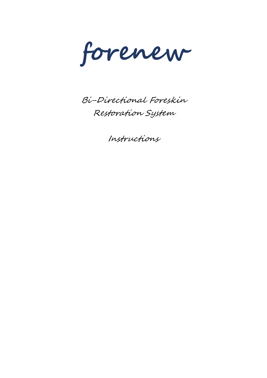**forenew**

Bi-Directional Foreskin Restoration System

Instructions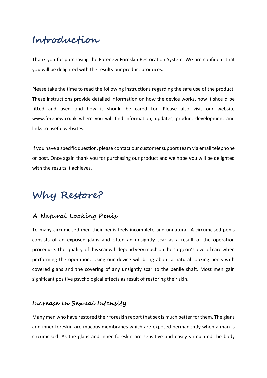# **Introduction**

Thank you for purchasing the Forenew Foreskin Restoration System. We are confident that you will be delighted with the results our product produces.

Please take the time to read the following instructions regarding the safe use of the product. These instructions provide detailed information on how the device works, how it should be fitted and used and how it should be cared for. Please also visit our website www.forenew.co.uk where you will find information, updates, product development and links to useful websites.

If you have a specific question, please contact our customer support team via email telephone or post. Once again thank you for purchasing our product and we hope you will be delighted with the results it achieves.

# **Why Restore?**

#### **A Natural Looking Penis**

To many circumcised men their penis feels incomplete and unnatural. A circumcised penis consists of an exposed glans and often an unsightly scar as a result of the operation procedure. The 'quality' of this scar will depend very much on the surgeon's level of care when performing the operation. Using our device will bring about a natural looking penis with covered glans and the covering of any unsightly scar to the penile shaft. Most men gain significant positive psychological effects as result of restoring their skin.

#### **Increase in Sexual Intensity**

Many men who have restored their foreskin report that sex is much better for them. The glans and inner foreskin are mucous membranes which are exposed permanently when a man is circumcised. As the glans and inner foreskin are sensitive and easily stimulated the body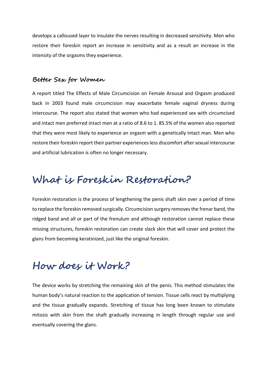develops a calloused layer to insulate the nerves resulting in decreased sensitivity. Men who restore their foreskin report an increase in sensitivity and as a result an increase in the intensity of the orgasms they experience.

#### **Better Sex for Women**

A report titled The Effects of Male Circumcision on Female Arousal and Orgasm produced back in 2003 found male circumcision may exacerbate female vaginal dryness during intercourse. The report also stated that women who had experienced sex with circumcised and intact men preferred intact men at a ratio of 8.6 to 1. 85.5% of the women also reported that they were most likely to experience an orgasm with a genetically intact man. Men who restore their foreskin report their partner experiences less discomfort after sexual intercourse and artificial lubrication is often no longer necessary.

#### **What is Foreskin Restoration?**

Foreskin restoration is the process of lengthening the penis shaft skin over a period of time to replace the foreskin removed surgically. Circumcision surgery removes the frenar band, the ridged band and all or part of the frenulum and although restoration cannot replace these missing structures, foreskin restoration can create slack skin that will cover and protect the glans from becoming keratinized, just like the original foreskin.

## **How does it Work?**

The device works by stretching the remaining skin of the penis. This method stimulates the human body's natural reaction to the application of tension. Tissue cells react by multiplying and the tissue gradually expands. Stretching of tissue has long been known to stimulate mitosis with skin from the shaft gradually increasing in length through regular use and eventually covering the glans.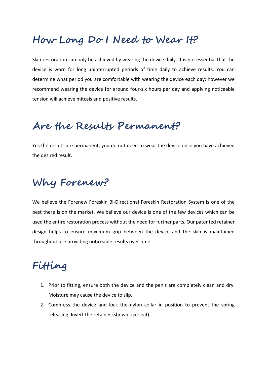## **How Long Do I Need to Wear It?**

Skin restoration can only be achieved by wearing the device daily. It is not essential that the device is worn for long uninterrupted periods of time daily to achieve results. You can determine what period you are comfortable with wearing the device each day; however we recommend wearing the device for around four-six hours per day and applying noticeable tension will achieve mitosis and positive results.

### **Are the Results Permanent?**

Yes the results are permanent, you do not need to wear the device once you have achieved the desired result.

# **Why Forenew?**

We believe the Forenew Foreskin Bi-Directional Foreskin Restoration System is one of the best there is on the market. We believe our device is one of the few devices which can be used the entire restoration process without the need for further parts. Our patented retainer design helps to ensure maximum grip between the device and the skin is maintained throughout use providing noticeable results over time.

# **Fitting**

- 1. Prior to fitting, ensure both the device and the penis are completely clean and dry. Moisture may cause the device to slip.
- 2. Compress the device and lock the nylon collar in position to prevent the spring releasing. Invert the retainer (shown overleaf)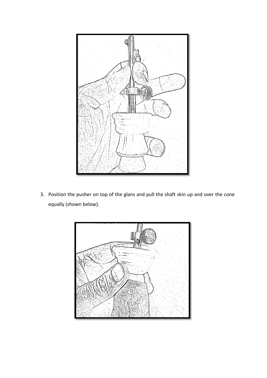

3. Position the pusher on top of the glans and pull the shaft skin up and over the cone equally (shown below).

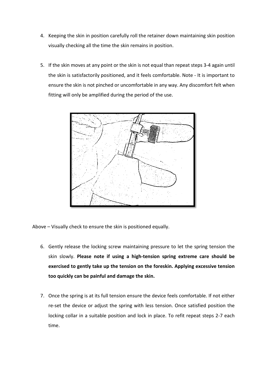- 4. Keeping the skin in position carefully roll the retainer down maintaining skin position visually checking all the time the skin remains in position.
- 5. If the skin moves at any point or the skin is not equal than repeat steps 3-4 again until the skin is satisfactorily positioned, and it feels comfortable. Note - It is important to ensure the skin is not pinched or uncomfortable in any way. Any discomfort felt when fitting will only be amplified during the period of the use.



Above – Visually check to ensure the skin is positioned equally.

- 6. Gently release the locking screw maintaining pressure to let the spring tension the skin slowly. **Please note if using a high-tension spring extreme care should be exercised to gently take up the tension on the foreskin. Applying excessive tension too quickly can be painful and damage the skin.**
- 7. Once the spring is at its full tension ensure the device feels comfortable. If not either re-set the device or adjust the spring with less tension. Once satisfied position the locking collar in a suitable position and lock in place. To refit repeat steps 2-7 each time.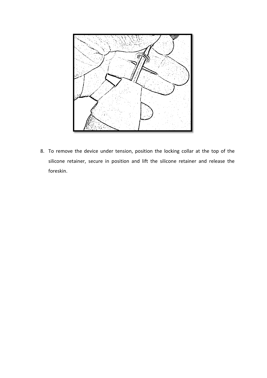

8. To remove the device under tension, position the locking collar at the top of the silicone retainer, secure in position and lift the silicone retainer and release the foreskin.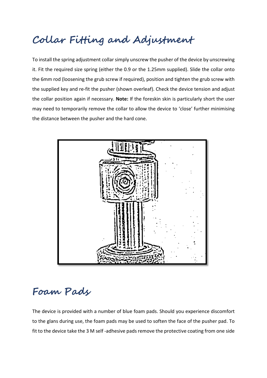# **Collar Fitting and Adjustment**

To install the spring adjustment collar simply unscrew the pusher of the device by unscrewing it. Fit the required size spring (either the 0.9 or the 1.25mm supplied). Slide the collar onto the 6mm rod (loosening the grub screw if required), position and tighten the grub screw with the supplied key and re-fit the pusher (shown overleaf). Check the device tension and adjust the collar position again if necessary. **Note:** If the foreskin skin is particularly short the user may need to temporarily remove the collar to allow the device to 'close' further minimising the distance between the pusher and the hard cone.



#### **Foam Pads**

The device is provided with a number of blue foam pads. Should you experience discomfort to the glans during use, the foam pads may be used to soften the face of the pusher pad. To fit to the device take the 3 M self -adhesive pads remove the protective coating from one side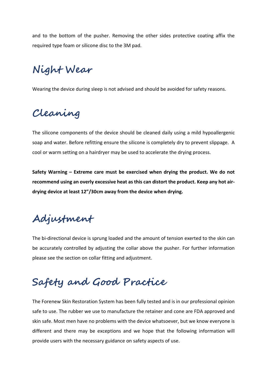and to the bottom of the pusher. Removing the other sides protective coating affix the required type foam or silicone disc to the 3M pad.

# **Night Wear**

Wearing the device during sleep is not advised and should be avoided for safety reasons.

## **Cleaning**

The silicone components of the device should be cleaned daily using a mild hypoallergenic soap and water. Before refitting ensure the silicone is completely dry to prevent slippage. A cool or warm setting on a hairdryer may be used to accelerate the drying process.

**Safety Warning – Extreme care must be exercised when drying the product. We do not recommend using an overly excessive heat as this can distort the product. Keep any hot airdrying device at least 12"/30cm away from the device when drying.**

# **Adjustment**

The bi-directional device is sprung loaded and the amount of tension exerted to the skin can be accurately controlled by adjusting the collar above the pusher. For further information please see the section on collar fitting and adjustment.

# **Safety and Good Practice**

The Forenew Skin Restoration System has been fully tested and is in our professional opinion safe to use. The rubber we use to manufacture the retainer and cone are FDA approved and skin safe. Most men have no problems with the device whatsoever, but we know everyone is different and there may be exceptions and we hope that the following information will provide users with the necessary guidance on safety aspects of use.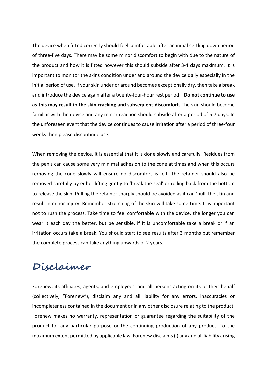The device when fitted correctly should feel comfortable after an initial settling down period of three-five days. There may be some minor discomfort to begin with due to the nature of the product and how it is fitted however this should subside after 3-4 days maximum. It is important to monitor the skins condition under and around the device daily especially in the initial period of use. If your skin under or around becomes exceptionally dry, then take a break and introduce the device again after a twenty-four-hour rest period – **Do not continue to use as this may result in the skin cracking and subsequent discomfort.** The skin should become familiar with the device and any minor reaction should subside after a period of 5-7 days. In the unforeseen event that the device continuesto cause irritation after a period of three-four weeks then please discontinue use.

When removing the device, it is essential that it is done slowly and carefully. Residues from the penis can cause some very minimal adhesion to the cone at times and when this occurs removing the cone slowly will ensure no discomfort is felt. The retainer should also be removed carefully by either lifting gently to 'break the seal' or rolling back from the bottom to release the skin. Pulling the retainer sharply should be avoided as it can 'pull' the skin and result in minor injury. Remember stretching of the skin will take some time. It is important not to rush the process. Take time to feel comfortable with the device, the longer you can wear it each day the better, but be sensible, if it is uncomfortable take a break or if an irritation occurs take a break. You should start to see results after 3 months but remember the complete process can take anything upwards of 2 years.

#### **Disclaimer**

Forenew, its affiliates, agents, and employees, and all persons acting on its or their behalf (collectively, "Forenew"), disclaim any and all liability for any errors, inaccuracies or incompleteness contained in the document or in any other disclosure relating to the product. Forenew makes no warranty, representation or guarantee regarding the suitability of the product for any particular purpose or the continuing production of any product. To the maximum extent permitted by applicable law, Forenew disclaims (i) any and all liability arising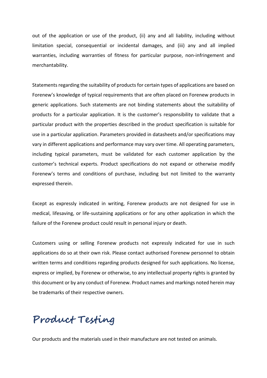out of the application or use of the product, (ii) any and all liability, including without limitation special, consequential or incidental damages, and (iii) any and all implied warranties, including warranties of fitness for particular purpose, non-infringement and merchantability.

Statements regarding the suitability of products for certain types of applications are based on Forenew's knowledge of typical requirements that are often placed on Forenew products in generic applications. Such statements are not binding statements about the suitability of products for a particular application. It is the customer's responsibility to validate that a particular product with the properties described in the product specification is suitable for use in a particular application. Parameters provided in datasheets and/or specifications may vary in different applications and performance may vary over time. All operating parameters, including typical parameters, must be validated for each customer application by the customer's technical experts. Product specifications do not expand or otherwise modify Forenew's terms and conditions of purchase, including but not limited to the warranty expressed therein.

Except as expressly indicated in writing, Forenew products are not designed for use in medical, lifesaving, or life-sustaining applications or for any other application in which the failure of the Forenew product could result in personal injury or death.

Customers using or selling Forenew products not expressly indicated for use in such applications do so at their own risk. Please contact authorised Forenew personnel to obtain written terms and conditions regarding products designed for such applications. No license, express or implied, by Forenew or otherwise, to any intellectual property rights is granted by this document or by any conduct of Forenew. Product names and markings noted herein may be trademarks of their respective owners.

#### **Product Testing**

Our products and the materials used in their manufacture are not tested on animals.